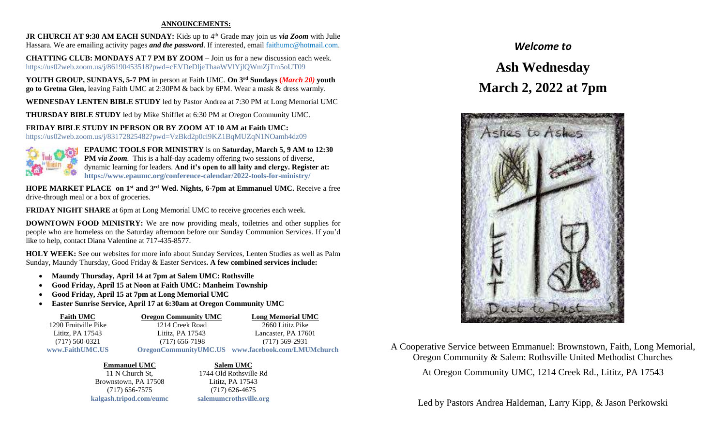## **ANNOUNCEMENTS:**

**JR CHURCH AT 9:30 AM EACH SUNDAY:** Kids up to 4<sup>th</sup> Grade may join us *via Zoom* with Julie Hassara. We are emailing activity pages *and the password*. If interested, email [faithumc@hotmail.com.](mailto:faithumc@hotmail.com)

**CHATTING CLUB: MONDAYS AT 7 PM BY ZOOM –** Join us for a new discussion each week. https://us02web.zoom.us/j/86190453518?pwd=cEVDeDljeThaaWVlYjlQWmZjTm5oUT09

**YOUTH GROUP, SUNDAYS, 5-7 PM** in person at Faith UMC. **On 3rd Sundays (***March 20)* **youth go to Gretna Glen,** leaving Faith UMC at 2:30PM & back by 6PM. Wear a mask & dress warmly.

**WEDNESDAY LENTEN BIBLE STUDY** led by Pastor Andrea at 7:30 PM at Long Memorial UMC

**THURSDAY BIBLE STUDY** led by Mike Shifflet at 6:30 PM at Oregon Community UMC.

**FRIDAY BIBLE STUDY IN PERSON OR BY ZOOM AT 10 AM at Faith UMC:** <https://us02web.zoom.us/j/83172825482?pwd=VzBkd2p0ci9KZ1BqMUZqN1NOamh4dz09>



**EPAUMC TOOLS FOR MINISTRY** is on **Saturday, March 5, 9 AM to 12:30 PM** *via Zoom.* This is a half-day academy offering two sessions of diverse, dynamic learning for leaders. **And it's open to all laity and clergy. Register at: <https://www.epaumc.org/conference-calendar/2022-tools-for-ministry/>**

**HOPE MARKET PLACE on 1st and 3rd Wed. Nights, 6-7pm at Emmanuel UMC.** Receive a free drive-through meal or a box of groceries.

**FRIDAY NIGHT SHARE** at 6pm at Long Memorial UMC to receive groceries each week.

**DOWNTOWN FOOD MINISTRY:** We are now providing meals, toiletries and other supplies for people who are homeless on the Saturday afternoon before our Sunday Communion Services. If you'd like to help, contact Diana Valentine at 717-435-8577.

**HOLY WEEK:** See our websites for more info about Sunday Services, Lenten Studies as well as Palm Sunday, Maundy Thursday, Good Friday & Easter Services**. A few combined services include:**

- **Maundy Thursday, April 14 at 7pm at Salem UMC: Rothsville**
- **Good Friday, April 15 at Noon at Faith UMC: Manheim Township**
- **Good Friday, April 15 at 7pm at Long Memorial UMC**
- **Easter Sunrise Service, April 17 at 6:30am at Oregon Community UMC**

| <b>Faith UMC</b>     | <b>Oregon Community UMC</b> | <b>Long Memorial UMC</b>                          |
|----------------------|-----------------------------|---------------------------------------------------|
| 1290 Fruitville Pike | 1214 Creek Road             | 2660 Lititz Pike                                  |
| Lititz, PA 17543     | Lititz, PA 17543            | Lancaster, PA 17601                               |
| $(717)$ 560-0321     | $(717)$ 656-7198            | $(717)$ 569-2931                                  |
| www.FaithUMC.US      |                             | OregonCommunityUMC.US www.facebook.com/LMUMchurch |

Brownstown, PA 17508 Lititz, PA 17543 (717) 656-7575 (717) 626-4675 **[kalgash.tripod.com/eumc](../kalgash.tripod.com/eumc) [salemumcrothsville.org](../salemumcrothsville.org)**

**Emmanuel UMC Salem UMC** 11 N Church St, 1744 Old Rothsville Rd

## *Welcome to*

## **Ash Wednesday March 2, 2022 at 7pm**



A Cooperative Service between Emmanuel: Brownstown, Faith, Long Memorial, Oregon Community & Salem: Rothsville United Methodist Churches At Oregon Community UMC, 1214 Creek Rd., Lititz, PA 17543

Led by Pastors Andrea Haldeman, Larry Kipp, & Jason Perkowski